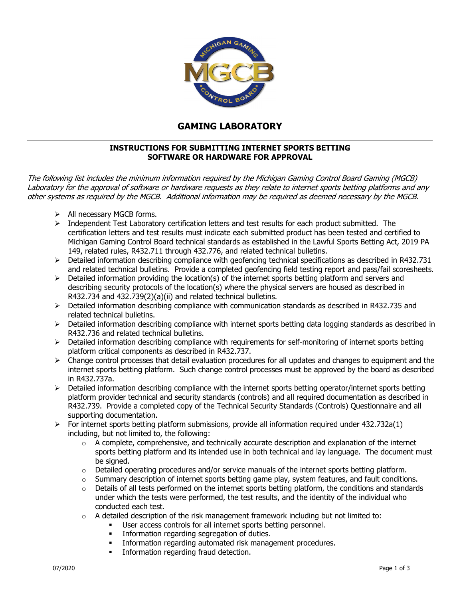

## **GAMING LABORATORY**

## **INSTRUCTIONS FOR SUBMITTING INTERNET SPORTS BETTING SOFTWARE OR HARDWARE FOR APPROVAL**

The following list includes the minimum information required by the Michigan Gaming Control Board Gaming (MGCB) Laboratory for the approval of software or hardware requests as they relate to internet sports betting platforms and any other systems as required by the MGCB. Additional information may be required as deemed necessary by the MGCB.

- $\triangleright$  All necessary MGCB forms.
- $\triangleright$  Independent Test Laboratory certification letters and test results for each product submitted. The certification letters and test results must indicate each submitted product has been tested and certified to Michigan Gaming Control Board technical standards as established in the Lawful Sports Betting Act, 2019 PA 149, related rules, R432.711 through 432.776, and related technical bulletins.
- $\triangleright$  Detailed information describing compliance with geofencing technical specifications as described in R432.731 and related technical bulletins. Provide a completed geofencing field testing report and pass/fail scoresheets.
- $\triangleright$  Detailed information providing the location(s) of the internet sports betting platform and servers and describing security protocols of the location(s) where the physical servers are housed as described in R432.734 and 432.739(2)(a)(ii) and related technical bulletins.
- $\triangleright$  Detailed information describing compliance with communication standards as described in R432.735 and related technical bulletins.
- $\triangleright$  Detailed information describing compliance with internet sports betting data logging standards as described in R432.736 and related technical bulletins.
- $\triangleright$  Detailed information describing compliance with requirements for self-monitoring of internet sports betting platform critical components as described in R432.737.
- $\triangleright$  Change control processes that detail evaluation procedures for all updates and changes to equipment and the internet sports betting platform. Such change control processes must be approved by the board as described in R432.737a.
- $\triangleright$  Detailed information describing compliance with the internet sports betting operator/internet sports betting platform provider technical and security standards (controls) and all required documentation as described in R432.739. Provide a completed copy of the Technical Security Standards (Controls) Questionnaire and all supporting documentation.
- $\triangleright$  For internet sports betting platform submissions, provide all information required under 432.732a(1) including, but not limited to, the following:
	- $\circ$  A complete, comprehensive, and technically accurate description and explanation of the internet sports betting platform and its intended use in both technical and lay language. The document must be signed.
	- o Detailed operating procedures and/or service manuals of the internet sports betting platform.
	- $\circ$  Summary description of internet sports betting game play, system features, and fault conditions.
	- $\circ$  Details of all tests performed on the internet sports betting platform, the conditions and standards under which the tests were performed, the test results, and the identity of the individual who conducted each test.
	- $\circ$  A detailed description of the risk management framework including but not limited to:
		- User access controls for all internet sports betting personnel.
			- **Information regarding segregation of duties.**
		- **Information regarding automated risk management procedures.**
		- **Information regarding fraud detection.**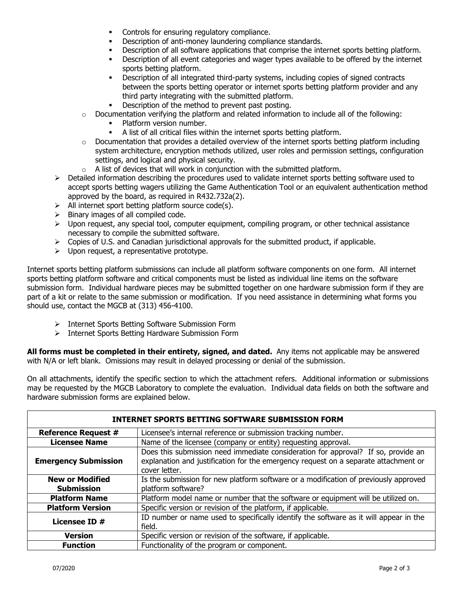- Controls for ensuring regulatory compliance.
- **•** Description of anti-money laundering compliance standards.
- **•** Description of all software applications that comprise the internet sports betting platform.
- Description of all event categories and wager types available to be offered by the internet sports betting platform.
- Description of all integrated third-party systems, including copies of signed contracts between the sports betting operator or internet sports betting platform provider and any third party integrating with the submitted platform.
- Description of the method to prevent past posting.
- $\circ$  Documentation verifying the platform and related information to include all of the following:
	- Platform version number.
	- A list of all critical files within the internet sports betting platform.
- $\circ$  Documentation that provides a detailed overview of the internet sports betting platform including system architecture, encryption methods utilized, user roles and permission settings, configuration settings, and logical and physical security.
- $\circ$  A list of devices that will work in conjunction with the submitted platform.
- $\triangleright$  Detailed information describing the procedures used to validate internet sports betting software used to accept sports betting wagers utilizing the Game Authentication Tool or an equivalent authentication method approved by the board, as required in R432.732a(2).
- $\triangleright$  All internet sport betting platform source code(s).
- $\triangleright$  Binary images of all compiled code.
- $\triangleright$  Upon request, any special tool, computer equipment, compiling program, or other technical assistance necessary to compile the submitted software.
- $\triangleright$  Copies of U.S. and Canadian jurisdictional approvals for the submitted product, if applicable.
- $\triangleright$  Upon request, a representative prototype.

Internet sports betting platform submissions can include all platform software components on one form. All internet sports betting platform software and critical components must be listed as individual line items on the software submission form. Individual hardware pieces may be submitted together on one hardware submission form if they are part of a kit or relate to the same submission or modification. If you need assistance in determining what forms you should use, contact the MGCB at (313) 456-4100.

- > Internet Sports Betting Software Submission Form
- Internet Sports Betting Hardware Submission Form

**All forms must be completed in their entirety, signed, and dated.** Any items not applicable may be answered with N/A or left blank. Omissions may result in delayed processing or denial of the submission.

On all attachments, identify the specific section to which the attachment refers. Additional information or submissions may be requested by the MGCB Laboratory to complete the evaluation. Individual data fields on both the software and hardware submission forms are explained below.

| <b>INTERNET SPORTS BETTING SOFTWARE SUBMISSION FORM</b> |                                                                                                                                                                                           |  |
|---------------------------------------------------------|-------------------------------------------------------------------------------------------------------------------------------------------------------------------------------------------|--|
| <b>Reference Request #</b>                              | Licensee's internal reference or submission tracking number.                                                                                                                              |  |
| <b>Licensee Name</b>                                    | Name of the licensee (company or entity) requesting approval.                                                                                                                             |  |
| <b>Emergency Submission</b>                             | Does this submission need immediate consideration for approval? If so, provide an<br>explanation and justification for the emergency request on a separate attachment or<br>cover letter. |  |
| <b>New or Modified</b><br><b>Submission</b>             | Is the submission for new platform software or a modification of previously approved<br>platform software?                                                                                |  |
| <b>Platform Name</b>                                    | Platform model name or number that the software or equipment will be utilized on.                                                                                                         |  |
| <b>Platform Version</b>                                 | Specific version or revision of the platform, if applicable.                                                                                                                              |  |
| Licensee ID #                                           | ID number or name used to specifically identify the software as it will appear in the<br>field.                                                                                           |  |
| <b>Version</b>                                          | Specific version or revision of the software, if applicable.                                                                                                                              |  |
| <b>Function</b>                                         | Functionality of the program or component.                                                                                                                                                |  |